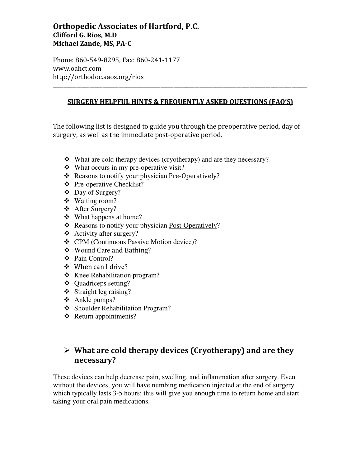#### Orthopedic Associates of Hartford, P.C. Clifford G. Rios, M.D Michael Zande, MS, PA-C

Phone: 860-549-8295, Fax: 860-241-1177 www.oahct.com http://orthodoc.aaos.org/rios

#### SURGERY HELPFUL HINTS & FREQUENTLY ASKED QUESTIONS (FAQ'S)

\_\_\_\_\_\_\_\_\_\_\_\_\_\_\_\_\_\_\_\_\_\_\_\_\_\_\_\_\_\_\_\_\_\_\_\_\_\_\_\_\_\_\_\_\_\_\_\_\_\_\_\_\_\_\_\_\_\_\_\_\_\_\_\_\_\_\_\_\_\_\_\_\_\_\_\_\_\_\_\_\_\_\_\_\_\_\_\_\_\_\_\_\_\_\_\_\_

The following list is designed to guide you through the preoperative period, day of surgery, as well as the immediate post-operative period.

- What are cold therapy devices (cryotherapy) and are they necessary?
- What occurs in my pre-operative visit?
- \* Reasons to notify your physician Pre-Operatively?
- Pre-operative Checklist?
- Day of Surgery?
- Waiting room?
- After Surgery?
- What happens at home?
- \* Reasons to notify your physician Post-Operatively?
- Activity after surgery?
- CPM (Continuous Passive Motion device)?
- Wound Care and Bathing?
- ❖ Pain Control?
- ❖ When can I drive?
- Knee Rehabilitation program?
- ❖ Ouadriceps setting?
- $\div$  Straight leg raising?
- Ankle pumps?
- Shoulder Rehabilitation Program?
- ❖ Return appointments?

#### > What are cold therapy devices (Cryotherapy) and are they necessary?

These devices can help decrease pain, swelling, and inflammation after surgery. Even without the devices, you will have numbing medication injected at the end of surgery which typically lasts 3-5 hours; this will give you enough time to return home and start taking your oral pain medications.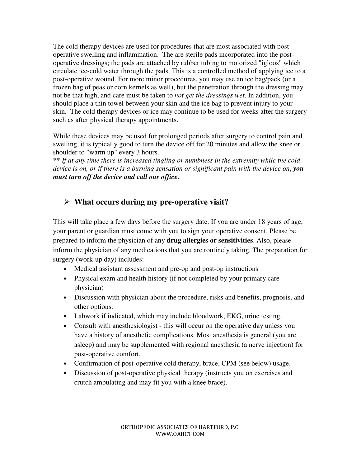The cold therapy devices are used for procedures that are most associated with postoperative swelling and inflammation. The are sterile pads incorporated into the postoperative dressings; the pads are attached by rubber tubing to motorized "igloos" which circulate ice-cold water through the pads. This is a controlled method of applying ice to a post-operative wound. For more minor procedures, you may use an ice bag/pack (or a frozen bag of peas or corn kernels as well), but the penetration through the dressing may not be that high, and care must be taken to *not get the dressings wet*. In addition, you should place a thin towel between your skin and the ice bag to prevent injury to your skin. The cold therapy devices or ice may continue to be used for weeks after the surgery such as after physical therapy appointments.

While these devices may be used for prolonged periods after surgery to control pain and swelling, it is typically good to turn the device off for 20 minutes and allow the knee or shoulder to "warm up" every 3 hours.

\*\* *If at any time there is increased tingling or numbness in the extremity while the cold device is on, or if there is a burning sensation or significant pain with the device on*, *you must turn off the device and call our office*.

## - **What occurs during my pre-operative visit?**

This will take place a few days before the surgery date. If you are under 18 years of age, your parent or guardian must come with you to sign your operative consent. Please be prepared to inform the physician of any **drug allergies or sensitivities**. Also, please inform the physician of any medications that you are routinely taking. The preparation for surgery (work-up day) includes:

- Medical assistant assessment and pre-op and post-op instructions
- Physical exam and health history (if not completed by your primary care physician)
- Discussion with physician about the procedure, risks and benefits, prognosis, and other options.
- Labwork if indicated, which may include bloodwork, EKG, urine testing.
- Consult with anesthesiologist this will occur on the operative day unless you have a history of anesthetic complications. Most anesthesia is general (you are asleep) and may be supplemented with regional anesthesia (a nerve injection) for post-operative comfort.
- Confirmation of post-operative cold therapy, brace, CPM (see below) usage.
- Discussion of post-operative physical therapy (instructs you on exercises and crutch ambulating and may fit you with a knee brace).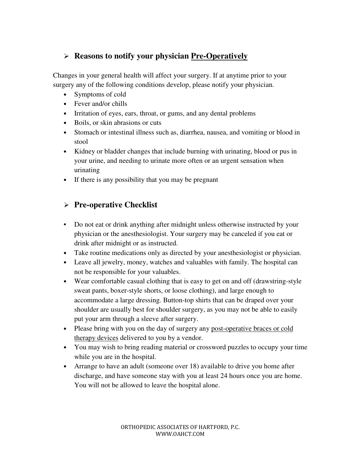#### - **Reasons to notify your physician Pre-Operatively**

Changes in your general health will affect your surgery. If at anytime prior to your surgery any of the following conditions develop, please notify your physician.

- Symptoms of cold
- Fever and/or chills
- Irritation of eyes, ears, throat, or gums, and any dental problems
- Boils, or skin abrasions or cuts
- Stomach or intestinal illness such as, diarrhea, nausea, and vomiting or blood in stool
- Kidney or bladder changes that include burning with urinating, blood or pus in your urine, and needing to urinate more often or an urgent sensation when urinating
- If there is any possibility that you may be pregnant

#### - **Pre-operative Checklist**

- Do not eat or drink anything after midnight unless otherwise instructed by your physician or the anesthesiologist. Your surgery may be canceled if you eat or drink after midnight or as instructed.
- Take routine medications only as directed by your anesthesiologist or physician.
- Leave all jewelry, money, watches and valuables with family. The hospital can not be responsible for your valuables.
- Wear comfortable casual clothing that is easy to get on and off (drawstring-style sweat pants, boxer-style shorts, or loose clothing), and large enough to accommodate a large dressing. Button-top shirts that can be draped over your shoulder are usually best for shoulder surgery, as you may not be able to easily put your arm through a sleeve after surgery.
- Please bring with you on the day of surgery any post-operative braces or cold therapy devices delivered to you by a vendor.
- You may wish to bring reading material or crossword puzzles to occupy your time while you are in the hospital.
- Arrange to have an adult (someone over 18) available to drive you home after discharge, and have someone stay with you at least 24 hours once you are home. You will not be allowed to leave the hospital alone.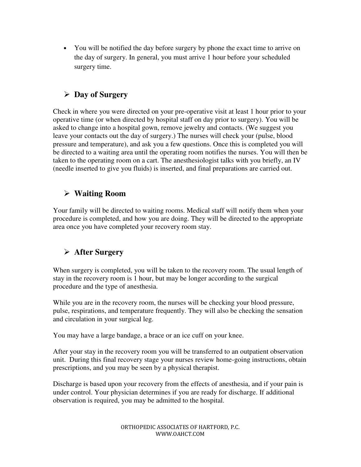• You will be notified the day before surgery by phone the exact time to arrive on the day of surgery. In general, you must arrive 1 hour before your scheduled surgery time.

### - **Day of Surgery**

Check in where you were directed on your pre-operative visit at least 1 hour prior to your operative time (or when directed by hospital staff on day prior to surgery). You will be asked to change into a hospital gown, remove jewelry and contacts. (We suggest you leave your contacts out the day of surgery.) The nurses will check your (pulse, blood pressure and temperature), and ask you a few questions. Once this is completed you will be directed to a waiting area until the operating room notifies the nurses. You will then be taken to the operating room on a cart. The anesthesiologist talks with you briefly, an IV (needle inserted to give you fluids) is inserted, and final preparations are carried out.

### - **Waiting Room**

Your family will be directed to waiting rooms. Medical staff will notify them when your procedure is completed, and how you are doing. They will be directed to the appropriate area once you have completed your recovery room stay.

# - **After Surgery**

When surgery is completed, you will be taken to the recovery room. The usual length of stay in the recovery room is 1 hour, but may be longer according to the surgical procedure and the type of anesthesia.

While you are in the recovery room, the nurses will be checking your blood pressure, pulse, respirations, and temperature frequently. They will also be checking the sensation and circulation in your surgical leg.

You may have a large bandage, a brace or an ice cuff on your knee.

After your stay in the recovery room you will be transferred to an outpatient observation unit. During this final recovery stage your nurses review home-going instructions, obtain prescriptions, and you may be seen by a physical therapist.

Discharge is based upon your recovery from the effects of anesthesia, and if your pain is under control. Your physician determines if you are ready for discharge. If additional observation is required, you may be admitted to the hospital.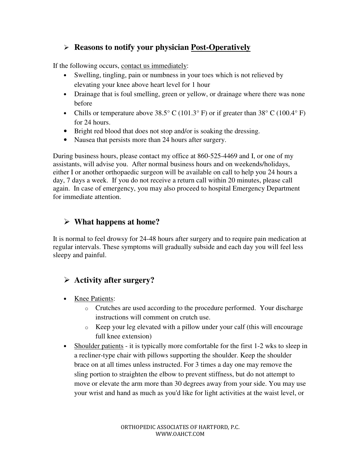#### - **Reasons to notify your physician Post-Operatively**

If the following occurs, contact us immediately:

- Swelling, tingling, pain or numbness in your toes which is not relieved by elevating your knee above heart level for 1 hour
- Drainage that is foul smelling, green or yellow, or drainage where there was none before
- Chills or temperature above 38.5° C (101.3° F) or if greater than 38° C (100.4° F) for 24 hours.
- Bright red blood that does not stop and/or is soaking the dressing.
- Nausea that persists more than 24 hours after surgery.

During business hours, please contact my office at 860-525-4469 and I, or one of my assistants, will advise you. After normal business hours and on weekends/holidays, either I or another orthopaedic surgeon will be available on call to help you 24 hours a day, 7 days a week. If you do not receive a return call within 20 minutes, please call again. In case of emergency, you may also proceed to hospital Emergency Department for immediate attention.

### - **What happens at home?**

It is normal to feel drowsy for 24-48 hours after surgery and to require pain medication at regular intervals. These symptoms will gradually subside and each day you will feel less sleepy and painful.

## - **Activity after surgery?**

- Knee Patients:
	- o Crutches are used according to the procedure performed. Your discharge instructions will comment on crutch use.
	- o Keep your leg elevated with a pillow under your calf (this will encourage full knee extension)
- Shoulder patients it is typically more comfortable for the first 1-2 wks to sleep in a recliner-type chair with pillows supporting the shoulder. Keep the shoulder brace on at all times unless instructed. For 3 times a day one may remove the sling portion to straighten the elbow to prevent stiffness, but do not attempt to move or elevate the arm more than 30 degrees away from your side. You may use your wrist and hand as much as you'd like for light activities at the waist level, or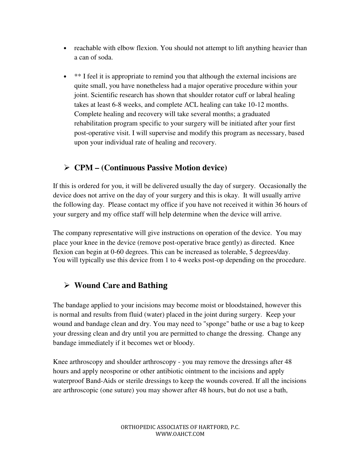- reachable with elbow flexion. You should not attempt to lift anything heavier than a can of soda.
- \*\* I feel it is appropriate to remind you that although the external incisions are quite small, you have nonetheless had a major operative procedure within your joint. Scientific research has shown that shoulder rotator cuff or labral healing takes at least 6-8 weeks, and complete ACL healing can take 10-12 months. Complete healing and recovery will take several months; a graduated rehabilitation program specific to your surgery will be initiated after your first post-operative visit. I will supervise and modify this program as necessary, based upon your individual rate of healing and recovery.

## - **CPM – (Continuous Passive Motion device)**

If this is ordered for you, it will be delivered usually the day of surgery. Occasionally the device does not arrive on the day of your surgery and this is okay. It will usually arrive the following day. Please contact my office if you have not received it within 36 hours of your surgery and my office staff will help determine when the device will arrive.

The company representative will give instructions on operation of the device. You may place your knee in the device (remove post-operative brace gently) as directed. Knee flexion can begin at 0-60 degrees. This can be increased as tolerable, 5 degrees/day. You will typically use this device from 1 to 4 weeks post-op depending on the procedure.

# - **Wound Care** and Bathing

The bandage applied to your incisions may become moist or bloodstained, however this is normal and results from fluid (water) placed in the joint during surgery. Keep your wound and bandage clean and dry. You may need to "sponge" bathe or use a bag to keep your dressing clean and dry until you are permitted to change the dressing. Change any bandage immediately if it becomes wet or bloody.

Knee arthroscopy and shoulder arthroscopy - you may remove the dressings after 48 hours and apply neosporine or other antibiotic ointment to the incisions and apply waterproof Band-Aids or sterile dressings to keep the wounds covered. If all the incisions are arthroscopic (one suture) you may shower after 48 hours, but do not use a bath,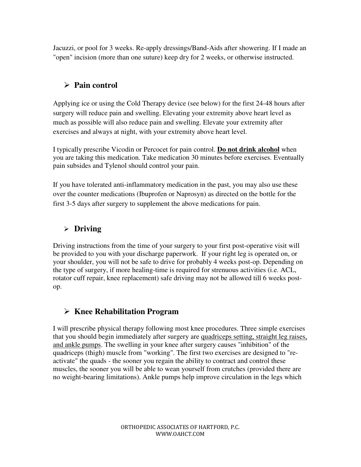Jacuzzi, or pool for 3 weeks. Re-apply dressings/Band-Aids after showering. If I made an "open" incision (more than one suture) keep dry for 2 weeks, or otherwise instructed.

## - **Pain control**

Applying ice or using the Cold Therapy device (see below) for the first 24-48 hours after surgery will reduce pain and swelling. Elevating your extremity above heart level as much as possible will also reduce pain and swelling. Elevate your extremity after exercises and always at night, with your extremity above heart level.

I typically prescribe Vicodin or Percocet for pain control. **Do not drink alcohol** when you are taking this medication. Take medication 30 minutes before exercises. Eventually pain subsides and Tylenol should control your pain.

If you have tolerated anti-inflammatory medication in the past, you may also use these over the counter medications (Ibuprofen or Naprosyn) as directed on the bottle for the first 3-5 days after surgery to supplement the above medications for pain.

#### - **Driving**

Driving instructions from the time of your surgery to your first post-operative visit will be provided to you with your discharge paperwork. If your right leg is operated on, or your shoulder, you will not be safe to drive for probably 4 weeks post-op. Depending on the type of surgery, if more healing-time is required for strenuous activities (i.e. ACL, rotator cuff repair, knee replacement) safe driving may not be allowed till 6 weeks postop.

# - **Knee Rehabilitation Program**

I will prescribe physical therapy following most knee procedures. Three simple exercises that you should begin immediately after surgery are quadriceps setting, straight leg raises, and ankle pumps. The swelling in your knee after surgery causes "inhibition" of the quadriceps (thigh) muscle from "working". The first two exercises are designed to "reactivate" the quads - the sooner you regain the ability to contract and control these muscles, the sooner you will be able to wean yourself from crutches (provided there are no weight-bearing limitations). Ankle pumps help improve circulation in the legs which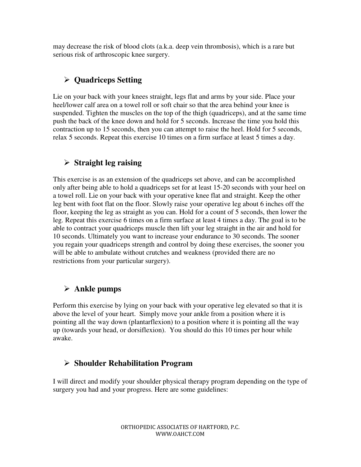may decrease the risk of blood clots (a.k.a. deep vein thrombosis), which is a rare but serious risk of arthroscopic knee surgery.

# - **Quadriceps Setting**

Lie on your back with your knees straight, legs flat and arms by your side. Place your heel/lower calf area on a towel roll or soft chair so that the area behind your knee is suspended. Tighten the muscles on the top of the thigh (quadriceps), and at the same time push the back of the knee down and hold for 5 seconds. Increase the time you hold this contraction up to 15 seconds, then you can attempt to raise the heel. Hold for 5 seconds, relax 5 seconds. Repeat this exercise 10 times on a firm surface at least 5 times a day.

### - **Straight leg raising**

This exercise is as an extension of the quadriceps set above, and can be accomplished only after being able to hold a quadriceps set for at least 15-20 seconds with your heel on a towel roll. Lie on your back with your operative knee flat and straight. Keep the other leg bent with foot flat on the floor. Slowly raise your operative leg about 6 inches off the floor, keeping the leg as straight as you can. Hold for a count of 5 seconds, then lower the leg. Repeat this exercise 6 times on a firm surface at least 4 times a day. The goal is to be able to contract your quadriceps muscle then lift your leg straight in the air and hold for 10 seconds. Ultimately you want to increase your endurance to 30 seconds. The sooner you regain your quadriceps strength and control by doing these exercises, the sooner you will be able to ambulate without crutches and weakness (provided there are no restrictions from your particular surgery).

### - **Ankle pumps**

Perform this exercise by lying on your back with your operative leg elevated so that it is above the level of your heart. Simply move your ankle from a position where it is pointing all the way down (plantarflexion) to a position where it is pointing all the way up (towards your head, or dorsiflexion). You should do this 10 times per hour while awake.

## - **Shoulder Rehabilitation Program**

I will direct and modify your shoulder physical therapy program depending on the type of surgery you had and your progress. Here are some guidelines: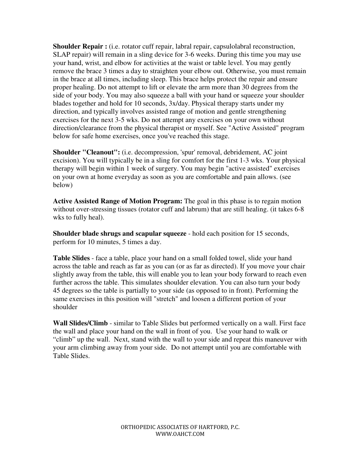**Shoulder Repair :** (i.e. rotator cuff repair, labral repair, capsulolabral reconstruction, SLAP repair) will remain in a sling device for 3-6 weeks. During this time you may use your hand, wrist, and elbow for activities at the waist or table level. You may gently remove the brace 3 times a day to straighten your elbow out. Otherwise, you must remain in the brace at all times, including sleep. This brace helps protect the repair and ensure proper healing. Do not attempt to lift or elevate the arm more than 30 degrees from the side of your body. You may also squeeze a ball with your hand or squeeze your shoulder blades together and hold for 10 seconds, 3x/day. Physical therapy starts under my direction, and typically involves assisted range of motion and gentle strengthening exercises for the next 3-5 wks. Do not attempt any exercises on your own without direction/clearance from the physical therapist or myself. See "Active Assisted" program below for safe home exercises, once you've reached this stage.

**Shoulder "Cleanout":** (i.e. decompression, 'spur' removal, debridement, AC joint excision). You will typically be in a sling for comfort for the first 1-3 wks. Your physical therapy will begin within 1 week of surgery. You may begin "active assisted" exercises on your own at home everyday as soon as you are comfortable and pain allows. (see below)

**Active Assisted Range of Motion Program:** The goal in this phase is to regain motion without over-stressing tissues (rotator cuff and labrum) that are still healing. (it takes 6-8 wks to fully heal).

**Shoulder blade shrugs and scapular squeeze** - hold each position for 15 seconds, perform for 10 minutes, 5 times a day.

**Table Slides** - face a table, place your hand on a small folded towel, slide your hand across the table and reach as far as you can (or as far as directed). If you move your chair slightly away from the table, this will enable you to lean your body forward to reach even further across the table. This simulates shoulder elevation. You can also turn your body 45 degrees so the table is partially to your side (as opposed to in front). Performing the same exercises in this position will "stretch" and loosen a different portion of your shoulder

**Wall Slides/Climb** - similar to Table Slides but performed vertically on a wall. First face the wall and place your hand on the wall in front of you. Use your hand to walk or "climb" up the wall. Next, stand with the wall to your side and repeat this maneuver with your arm climbing away from your side. Do not attempt until you are comfortable with Table Slides.

> ORTHOPEDIC ASSOCIATES OF HARTFORD, P.C. WWW.OAHCT.COM